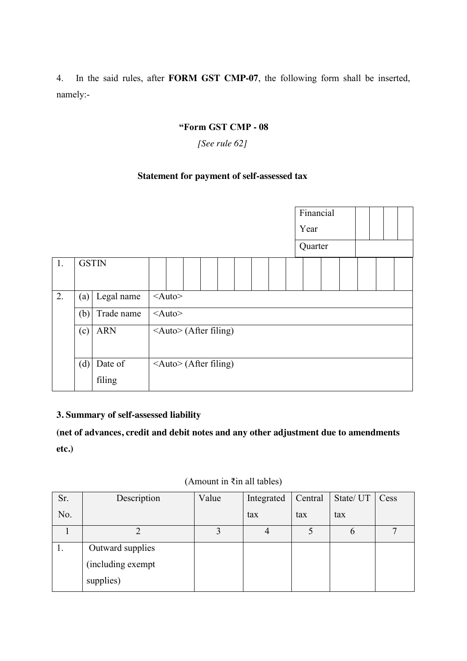#### **"Form GST CMP - 08**

## *[See rule 62]*

# **Statement for payment of self-assessed tax**

|    |                   | Financial                               |  |  |
|----|-------------------|-----------------------------------------|--|--|
|    |                   | Year                                    |  |  |
|    |                   | Quarter                                 |  |  |
| 1. | <b>GSTIN</b>      |                                         |  |  |
| 2. | Legal name<br>(a) | $\leq$ Auto $\geq$                      |  |  |
|    | Trade name<br>(b) | $<$ Auto $>$                            |  |  |
|    | <b>ARN</b><br>(c) | <auto> (After filing)</auto>            |  |  |
|    | (d)<br>Date of    | $\langle$ Auto $\rangle$ (After filing) |  |  |
|    | filing            |                                         |  |  |

#### **3. Summary of self-assessed liability**

**(net of advances, credit and debit notes and any other adjustment due to amendments etc.)**

| Sr. | Description        | Value | Integrated | Central | State/ UT   Cess |  |
|-----|--------------------|-------|------------|---------|------------------|--|
| No. |                    |       | tax        | tax     | tax              |  |
|     |                    | 3     | 4          |         | b                |  |
|     | Outward supplies   |       |            |         |                  |  |
|     | (including exempt) |       |            |         |                  |  |
|     | supplies)          |       |            |         |                  |  |

#### (Amount in ₹in all tables)